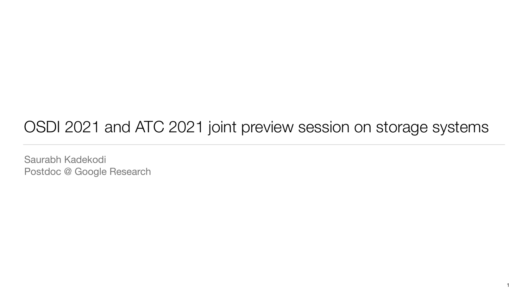## OSDI 2021 and ATC 2021 joint preview session on storage systems

Saurabh Kadekodi Postdoc @ Google Research

1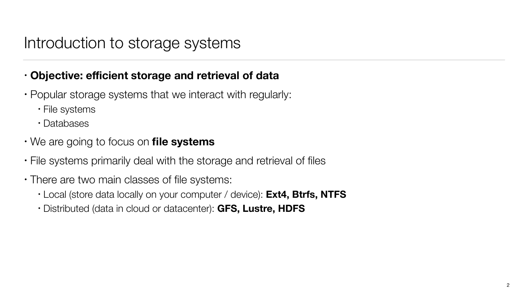## Introduction to storage systems

- **Objective: efficient storage and retrieval of data**
- Popular storage systems that we interact with regularly:
	- File systems
	- Databases
- We are going to focus on **file systems**
- File systems primarily deal with the storage and retrieval of files
- There are two main classes of file systems:
	- Local (store data locally on your computer / device): **Ext4, Btrfs, NTFS**
	- Distributed (data in cloud or datacenter): **GFS, Lustre, HDFS**



 $\mathcal{P}$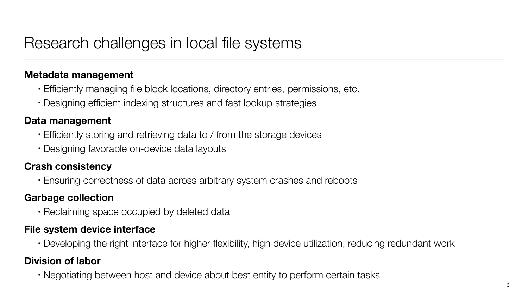## Research challenges in local file systems

#### **Metadata management**

- Efficiently managing file block locations, directory entries, permissions, etc. • Designing efficient indexing structures and fast lookup strategies
- 

#### **Data management**

- Efficiently storing and retrieving data to / from the storage devices
- Designing favorable on-device data layouts

#### **Crash consistency**

• Ensuring correctness of data across arbitrary system crashes and reboots

#### **Garbage collection**

• Reclaiming space occupied by deleted data

#### **File system device interface**

• Developing the right interface for higher flexibility, high device utilization, reducing redundant work

#### **Division of labor**

• Negotiating between host and device about best entity to perform certain tasks



3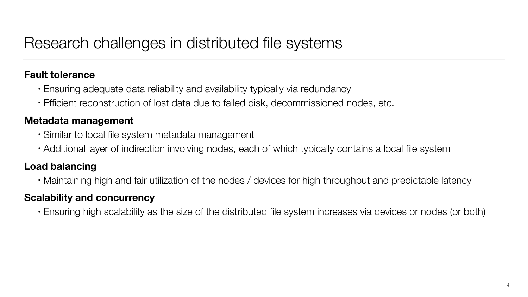## Research challenges in distributed file systems

#### **Fault tolerance**

- Ensuring adequate data reliability and availability typically via redundancy • Efficient reconstruction of lost data due to failed disk, decommissioned nodes, etc.
- 

#### **Metadata management**

- Similar to local file system metadata management
- Additional layer of indirection involving nodes, each of which typically contains a local file system

#### **Load balancing**

• Maintaining high and fair utilization of the nodes / devices for high throughput and predictable latency

#### **Scalability and concurrency**

• Ensuring high scalability as the size of the distributed file system increases via devices or nodes (or both)

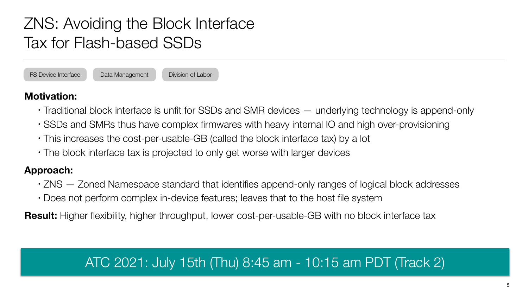- 
- Traditional block interface is unfit for SSDs and SMR devices underlying technology is append-only • SSDs and SMRs thus have complex firmwares with heavy internal IO and high over-provisioning • This increases the cost-per-usable-GB (called the block interface tax) by a lot
- 
- The block interface tax is projected to only get worse with larger devices

#### **Approach:**

- ZNS Zoned Namespace standard that identifies append-only ranges of logical block addresses • Does not perform complex in-device features; leaves that to the host file system
- 

**Result:** Higher flexibility, higher throughput, lower cost-per-usable-GB with no block interface tax

# ZNS: Avoiding the Block Interface Tax for Flash-based SSDs

FS Device Interface Data Management Division of Labor



### ATC 2021: July 15th (Thu) 8:45 am - 10:15 am PDT (Track 2)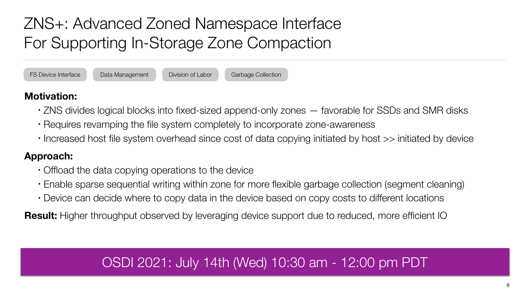- 
- Requires revamping the file system completely to incorporate zone-awareness
- 

• ZNS divides logical blocks into fixed-sized append-only zones — favorable for SSDs and SMR disks • Increased host file system overhead since cost of data copying initiated by host >> initiated by device

#### **Approach:**

• Enable sparse sequential writing within zone for more flexible garbage collection (segment cleaning)

- Offload the data copying operations to the device
- 
- Device can decide where to copy data in the device based on copy costs to different locations

**Result:** Higher throughput observed by leveraging device support due to reduced, more efficient IO

# ZNS+: Advanced Zoned Namespace Interface For Supporting In-Storage Zone Compaction

FS Device Interface Data Management Division of Labor Garbage Collection

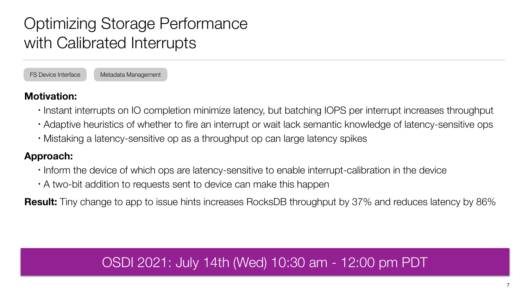• Instant interrupts on IO completion minimize latency, but batching IOPS per interrupt increases throughput • Adaptive heuristics of whether to fire an interrupt or wait lack semantic knowledge of latency-sensitive ops

- 
- 
- Mistaking a latency-sensitive op as a throughput op can large latency spikes

# Optimizing Storage Performance with Calibrated Interrupts

FS Device Interface Metadata Management

#### **Approach:**

- Inform the device of which ops are latency-sensitive to enable interrupt-calibration in the device
- A two-bit addition to requests sent to device can make this happen

**Result:** Tiny change to app to issue hints increases RocksDB throughput by 37% and reduces latency by 86%

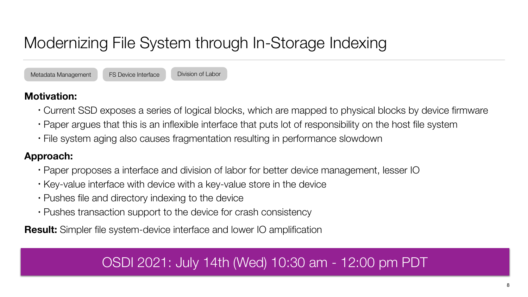# Modernizing File System through In-Storage Indexing

Metadata Management **FS Device Interface** Division of Labor

#### **Motivation:**

• Current SSD exposes a series of logical blocks, which are mapped to physical blocks by device firmware • Paper argues that this is an inflexible interface that puts lot of responsibility on the host file system

- 
- 
- File system aging also causes fragmentation resulting in performance slowdown

#### **Approach:**

- Paper proposes a interface and division of labor for better device management, lesser IO
- Key-value interface with device with a key-value store in the device
- Pushes file and directory indexing to the device
- Pushes transaction support to the device for crash consistency

**Result:** Simpler file system-device interface and lower IO amplification

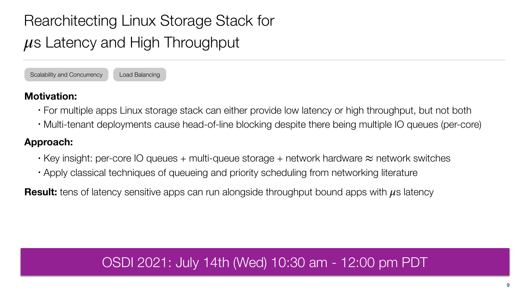- For multiple apps Linux storage stack can either provide low latency or high throughput, but not both • Multi-tenant deployments cause head-of-line blocking despite there being multiple IO queues (per-core)
- 

- Key insight: per-core IO queues + multi-queue storage + network hardware  $\approx$  network switches • Apply classical techniques of queueing and priority scheduling from networking literature
- 

**Result:** tens of latency sensitive apps can run alongside throughput bound apps with  $\mu$ s latency

#### **Approach:**

# Rearchitecting Linux Storage Stack for *μ*s Latency and High Throughput

Scalability and Concurrency | Load Balancing

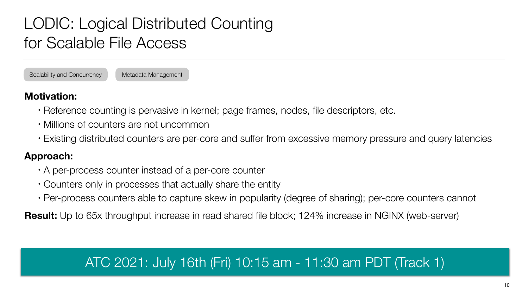- Reference counting is pervasive in kernel; page frames, nodes, file descriptors, etc.
- Millions of counters are not uncommon
- Existing distributed counters are per-core and suffer from excessive memory pressure and query latencies

#### **Approach:**

- A per-process counter instead of a per-core counter
- Counters only in processes that actually share the entity
- Per-process counters able to capture skew in popularity (degree of sharing); per-core counters cannot

**Result:** Up to 65x throughput increase in read shared file block; 124% increase in NGINX (web-server)

# LODIC: Logical Distributed Counting for Scalable File Access

Scalability and Concurrency Metadata Management



- 
-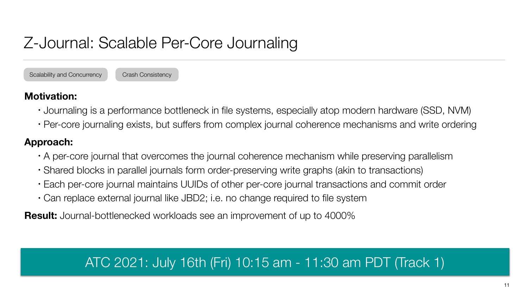- 
- 

• Journaling is a performance bottleneck in file systems, especially atop modern hardware (SSD, NVM) • Per-core journaling exists, but suffers from complex journal coherence mechanisms and write ordering

#### **Approach:**

- A per-core journal that overcomes the journal coherence mechanism while preserving parallelism
- Shared blocks in parallel journals form order-preserving write graphs (akin to transactions)
- Each per-core journal maintains UUIDs of other per-core journal transactions and commit order
- Can replace external journal like JBD2; i.e. no change required to file system

**Result:** Journal-bottlenecked workloads see an improvement of up to 4000%

# Z-Journal: Scalable Per-Core Journaling

Scalability and Concurrency Crash Consistency

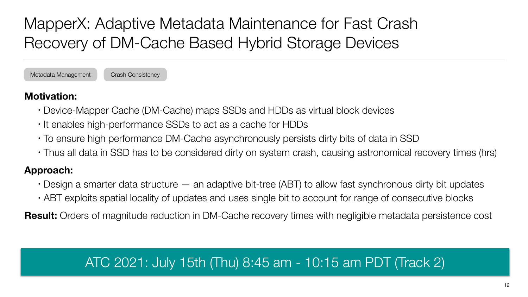- Device-Mapper Cache (DM-Cache) maps SSDs and HDDs as virtual block devices
- It enables high-performance SSDs to act as a cache for HDDs
- To ensure high performance DM-Cache asynchronously persists dirty bits of data in SSD
- Thus all data in SSD has to be considered dirty on system crash, causing astronomical recovery times (hrs)

- $\cdot$  Design a smarter data structure  $-$  an adaptive bit-tree (ABT) to allow fast synchronous dirty bit updates • ABT exploits spatial locality of updates and uses single bit to account for range of consecutive blocks
- 

#### **Approach:**

**Result:** Orders of magnitude reduction in DM-Cache recovery times with negligible metadata persistence cost

# MapperX: Adaptive Metadata Maintenance for Fast Crash Recovery of DM-Cache Based Hybrid Storage Devices

Metadata Management Crash Consistency



### ATC 2021: July 15th (Thu) 8:45 am - 10:15 am PDT (Track 2)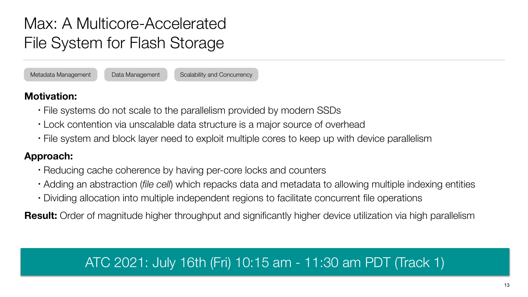- File systems do not scale to the parallelism provided by modern SSDs • Lock contention via unscalable data structure is a major source of overhead
- 
- File system and block layer need to exploit multiple cores to keep up with device parallelism

#### **Approach:**

- Reducing cache coherence by having per-core locks and counters
- Adding an abstraction (*file cell*) which repacks data and metadata to allowing multiple indexing entities
- Dividing allocation into multiple independent regions to facilitate concurrent file operations

**Result:** Order of magnitude higher throughput and significantly higher device utilization via high parallelism

# Max: A Multicore-Accelerated File System for Flash Storage

Metadata Management Data Management Scalability and Concurrency

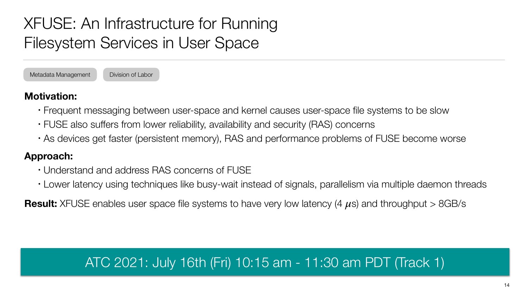- 
- 
- Frequent messaging between user-space and kernel causes user-space file systems to be slow • FUSE also suffers from lower reliability, availability and security (RAS) concerns • As devices get faster (persistent memory), RAS and performance problems of FUSE become worse

#### **Approach:**

- Understand and address RAS concerns of FUSE
- Lower latency using techniques like busy-wait instead of signals, parallelism via multiple daemon threads

**Result:** XFUSE enables user space file systems to have very low latency (4 *μ*s) and throughput > 8GB/s

# XFUSE: An Infrastructure for Running Filesystem Services in User Space

Metadata Management Division of Labor

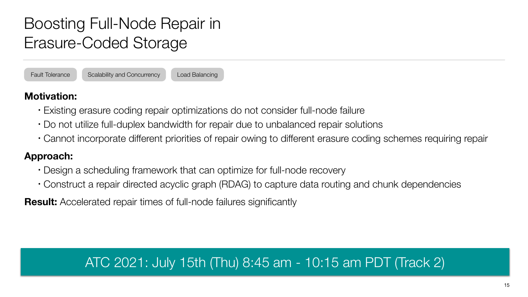- Existing erasure coding repair optimizations do not consider full-node failure
- Do not utilize full-duplex bandwidth for repair due to unbalanced repair solutions
- Cannot incorporate different priorities of repair owing to different erasure coding schemes requiring repair

#### **Approach:**

- Design a scheduling framework that can optimize for full-node recovery
- Construct a repair directed acyclic graph (RDAG) to capture data routing and chunk dependencies

**Result:** Accelerated repair times of full-node failures significantly

# Boosting Full-Node Repair in Erasure-Coded Storage

Fault Tolerance Scalability and Concurrency Load Balancing



### ATC 2021: July 15th (Thu) 8:45 am - 10:15 am PDT (Track 2)